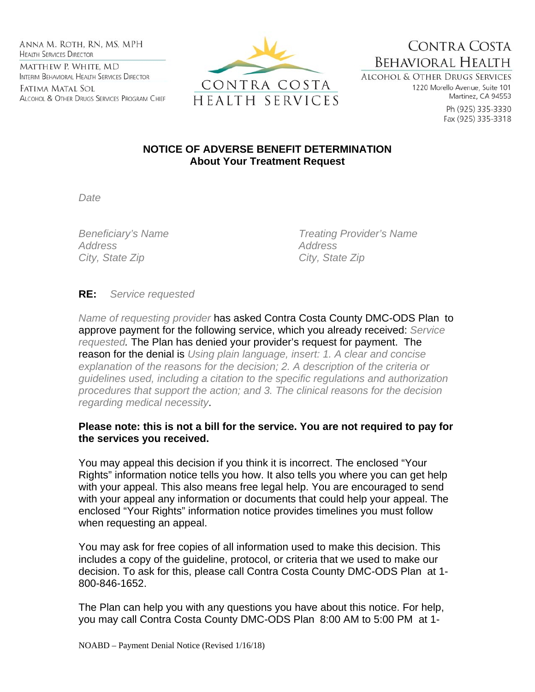Anna M. Roth, RN, MS, MPH **HEALTH SERVICES DIRECTOR** MATTHEW P. WHITE, MD INTERIM BEHAVIORAL HEALTH SERVICES DIRECTOR

Fatima Matal Sol ALCOHOL & OTHER DRUGS SERVICES PROGRAM CHIEF



CONTRA COSTA **BEHAVIORAL HEALTH** 

ALCOHOL & OTHER DRUGS SERVICES 1220 Morello Avenue, Suite 101 Martinez, CA 94553

> Ph (925) 335-3330 Fax (925) 335-3318

## **NOTICE OF ADVERSE BENEFIT DETERMINATION About Your Treatment Request**

*Date* 

*Address Address City, State Zip City, State Zip* 

*Beneficiary's Name Treating Provider's Name* 

## **RE:** *Service requested*

*Name of requesting provider* has asked Contra Costa County DMC-ODS Plan to approve payment for the following service, which you already received: *Service requested.* The Plan has denied your provider's request for payment. The reason for the denial is *Using plain language, insert: 1. A clear and concise explanation of the reasons for the decision; 2. A description of the criteria or guidelines used, including a citation to the specific regulations and authorization procedures that support the action; and 3. The clinical reasons for the decision regarding medical necessity*.

## **Please note: this is not a bill for the service. You are not required to pay for the services you received.**

You may appeal this decision if you think it is incorrect. The enclosed "Your Rights" information notice tells you how. It also tells you where you can get help with your appeal. This also means free legal help. You are encouraged to send with your appeal any information or documents that could help your appeal. The enclosed "Your Rights" information notice provides timelines you must follow when requesting an appeal.

You may ask for free copies of all information used to make this decision. This includes a copy of the guideline, protocol, or criteria that we used to make our decision. To ask for this, please call Contra Costa County DMC-ODS Plan at 1- 800-846-1652.

The Plan can help you with any questions you have about this notice. For help, you may call Contra Costa County DMC-ODS Plan 8:00 AM to 5:00 PM at 1